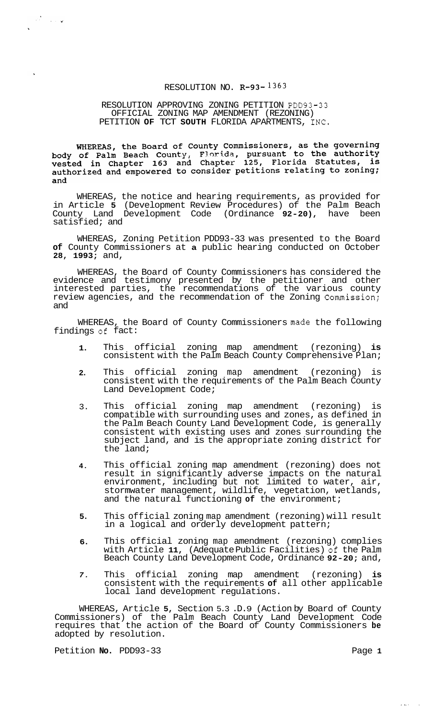# RESOLUTION NO.  $R-93-1363$

# RESOLUTION APPROVING ZONING PETITION PDD93-33 PETITION **OF** TCT **SOUTH** FLORIDA APARTMENTS, INC. OFFICIAL ZONING MAP AMENDMENT (REZONING)

WHEREAS, the Board of County Commissioners, as the governing<br>body of Palm Beach County, Florida, pursuant to the authority<br>vested in Chapter 163 and Chapter 125, Florida Statutes, is<br>authorized and empowered to consider pe and

WHEREAS, the notice and hearing requirements, as provided for in Article **5** (Development Review Procedures) of the Palm Beach County Land Development Code (Ordinance **92-20),** have been satisfied; and

WHEREAS, Zoning Petition PDD93-33 was presented to the Board **of** County Commissioners at **a** public hearing conducted on October **28, 1993;** and,

WHEREAS, the Board of County Commissioners has considered the evidence and testimony presented by the petitioner and other interested parties, the recommendations of the various county review agencies, and the recommendation of the Zoning Commission; and

WHEREAS, the Board of County Commissioners made the following findings of fact:

- **1.**  This official zoning map amendment (rezoning) **is**  consistent with the Palm Beach County Comprehensive Plan;
- **2.**  This official zoning map amendment (rezoning) is consistent with the requirements of the Palm Beach County Land Development Code;
- 3. This official zoning map amendment (rezoning) is compatible with surrounding uses and zones, as defined in the Palm Beach County Land Development Code, is generally consistent with existing uses and zones surrounding the subject land, and is the appropriate zoning district for the land;
- **4.**  This official zoning map amendment (rezoning) does not result in significantly adverse impacts on the natural environment, including but not limited to water, air, stormwater management, wildlife, vegetation, wetlands, and the natural functioning **of** the environment;
- **5.**  This official zoning map amendment (rezoning) will result in a logical and orderly development pattern;
- **6.**  This official zoning map amendment (rezoning) complies with Article **11,** (Adequate Public Facilities) **oi** the Palm Beach County Land Development Code, Ordinance **92-20;** and,
- *7.*  This official zoning map amendment (rezoning) **is**  consistent with the requirements **of** all other applicable local land development regulations.

WHEREAS, Article **5,** Section 5.3 .D. 9 (Action by Board of County Commissioners) of the Palm Beach County Land Development Code requires that the action of the Board of County Commissioners **be**  adopted by resolution.

Petition **No.** PDD93-33 Page 1

 $\mathcal{A}^{\mathcal{A}}$  , where  $\mathbf{v}$ 

**I** .. . ,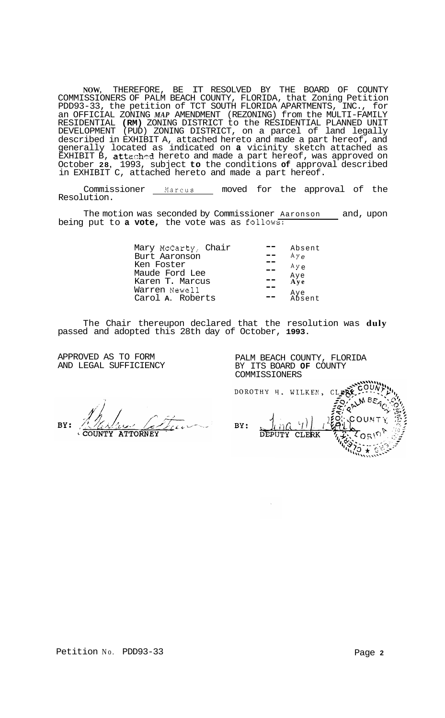**NOW,** THEREFORE, BE IT RESOLVED BY THE BOARD OF COUNTY COMMISSIONERS OF PALM BEACH COUNTY, FLORIDA, that Zoning Petition PDD93-33, the petition of TCT SOUTH FLORIDA APARTMENTS, INC., for an OFFICIAL ZONING *MAP* AMENDMENT (REZONING) from the MULTI-FAMILY RESIDENTIAL **(RM)** ZONING DISTRICT to the RESIDENTIAL PLANNED UNIT DEVELOPMENT (PUD) ZONING DISTRICT, on a parcel of land legally described in EXHIBIT A, attached hereto and made a part hereof, and generally located as indicated on **a** vicinity sketch attached as EXHIBIT B, **att**ached hereto and made a part hereof, was approved on October **28,** 1993, subject **to** the conditions **of** approval described in EXHIBIT C, attached hereto and made a part hereof.

Commissioner Marcus moved for the approval of the Resolution.

The motion was seconded by Commissioner Aaronson and, upon being put to **a vote,** the vote was as follows:

| Mary McCarty, Chair<br>Burt Aaronson | Absent<br>AУe |
|--------------------------------------|---------------|
| Ken Foster<br>Maude Ford Lee         | $A y_{e}$     |
| Karen T. Marcus                      | Aye<br>Aye    |
| Warren Newell<br>Carol A. Roberts    | Aye<br>Absent |

The Chair thereupon declared that the resolution was **duly**  passed and adopted this 28th day of October, **1993.** 

APPROVED AS TO FORM AND LEGAL SUFFICIENCY PALM BEACH COUNTY, FLORIDA BY ITS BOARD **OF** COUNTY COMMISSIONERS

RV: **ATTORNEY** 

DOROTHY H. WILKEN, CLER  $\left\{ \epsilon_{f} \right\}$ BY: DEPUTY CLERK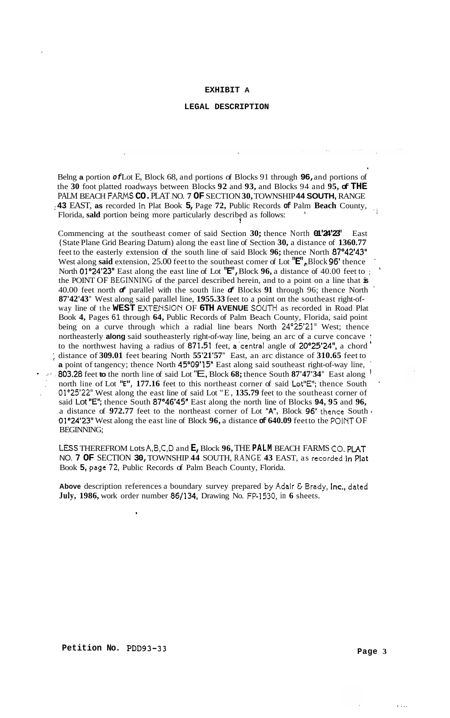#### **EXHIBIT A**

# **LEGAL DESCRIPTION**

Belng **a** portion *of* Lot E, Block 68, and portions of Blocks 91 through **96,** and portions of the **30** foot platted roadways between Blocks **92** and **93,** and Blocks 94 and **95, of THE**  PALM BEACH FAFIMS **CO.** PLAT NO. **7 OF** SECTION **30,** TOWNSHIP **44 SOUTH,** RANGE : **43** EAST, **as** recorded in Plat Book **5,** Page **72,** Public Records **of** Palm **Beach** County, Florida, **sald** portion being more particularly described as follows: .i

Commencing at the southeast comer of said Section **30;** thence North **01'24'23"** East {State Plane Grid Bearing Datum) along the east line of Section **30,** a distance of **1360.77**  feet to the easterly extension of the south line of said Block **96;** thence North **87"42'43"**  West along **said** extension, 25.00 feet to the southeast comer of Lot **"E",** ,Block **96'** thence ' North **Ol"24'23"** East along the east line of Lot **"E",** Block **96,** a distance of 40.00 feet to ; ' the POINT OF BEGINNING of the parcel described herein, and to a point on a line that **is**  40.00 feet north *of* parallel with the south line *of* Blocks **91** through 96; thence North **87'42'43"** West along said parallel line, **1955.33** feet to a point on the southeast right-ofway line of the WEST EXTENSION OF 6TH AVENUE SOUTH as recorded in Road Plat Book **4,** Pages 61 through **64,** Public Records of Palm Beach County, Florida, said point being on a curve through which a radial line bears North 24'25'21" West; thence northeasterly **along** said southeasterly right-of-way line, being an arc of a curve concave <sup>1</sup> to the northwest having a radius of **871,51** feet, a.'central angle of **20'25'24",** a chord ' **a** point of tangency; thence North **45'09'15"** East along said southeast right-of-way line, ' - ..: **.803.28** feet **to** the north line of said Lot "E, Block **68;** thence South **87'47'34"** East along ' north line of Lot "E", 177.16 feet to this northeast corner of said Lot"E"; thence South . Ol"25'22" West along the east line of said Lot "E, **135.79** feet to the southeast corner of said Lot "E'; thence South **87'46'45"** East along the north line of Blocks **94, 95** and **96,**  a distance of **972.77** feet to the northeast corner of Lot **"A",** Block **96'** thence South <sup>~</sup> **Of"24'23"** West along the east line of Block **96,** a distance **of 640.09** feet to the POINT OF BEGINNING; ; distance of **309.01** feet bearing North **55'21'57"** East, an arc distance of **310.65** feet to

LESS THEREFROM Lots A,B,C,D and **E,** Block **96,** THE **PALM** BEACH FARMS **CO.** PLAT NO. **7 OF** SECTION **30,** TOWNSHIP **44** SOUTH, RANGE **43** EAST, as recorded in Plat Book **5,** page.72, Public Records of Palm Beach County, Florida.

**Above** description references a boundary survey prepared **by** Adair & Brady, Inc., dated **July, 1986,** work order number **86/134,** Drawing No. FP-1530, in **6** sheets.

.

. . ..

,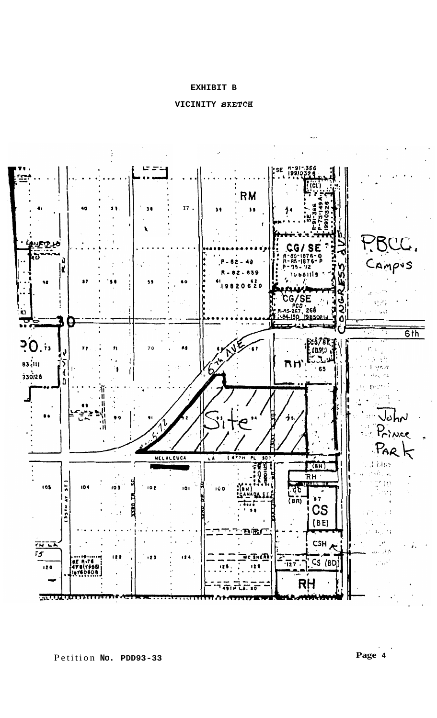# **EXHIBIT B**





.. **Page 4**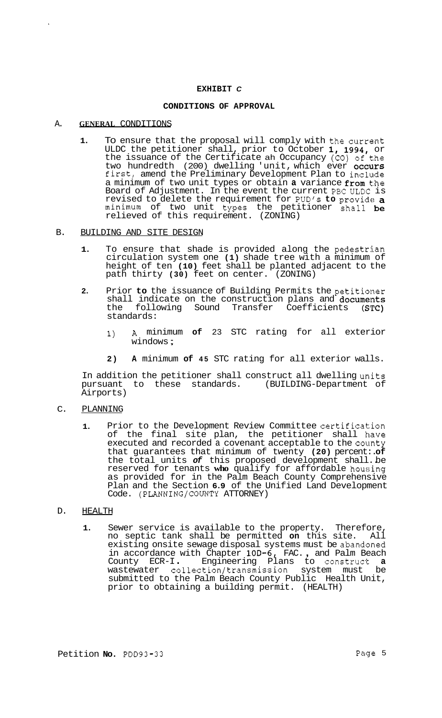### **EXHIBIT** *C*

### **CONDITIONS OF APPROVAL**

### A. **GENERAL** CONDITIONS

**1.** To ensure that the proposal will comply with the current ULDC the petitioner shall, prior to October **1, 1994,** or the issuance of the Certificate ah Occupancy (CO) of the two hundredth (200) dwelling 'unit, which ever occurs first, amend the Preliminary Development Plan to include a minimum of two unit types or obtain a variance from the Board of Adjustment. In the event the current PBc ULDC is revised to delete the requirement for PUD's **to** provide a minimum of two unit types the petitioner shall be relieved of this requirement. (ZONING)

### B. BUILDING AND SITE DESIGN

- **1.** To ensure that shade is provided along the pedestrian circulation system one **(1)** shade tree with a minimum of height of ten **(10)** feet shall be planted adjacent to the path thirty **(30)** feet on center. (ZONING)
- 2. Prior to the issuance of Building Permits the petitioner shall indicate on the construction plans and **documents**<br>the following Sound Transfer Coefficients (STC) following Sound Transfer Coefficients standards:
	- **1) A** minimum **of** 23 STC rating for all exterior windows ;
	- **2) A** minimum **of 45** STC rating for all exterior walls.

In addition the petitioner shall construct all dwelling units<br>pursuant to these standards. (BUILDING-Department of pursuant to these standards. Airports)

# C. PLANNING

**1.** Prior to the Development Review Committee certification of the final site plan, the petitioner shall have executed and recorded a covenant acceptable to the county that guarantees that minimum of twenty **(20)** percent:. **of**  the total units *of* this proposed development shall.. be reserved for tenants **who** qualify for affordable housing as provided for in the Palm Beach County Comprehensive Plan and the Section **6.9** of the Unified Land Development Code. (PLANNING/COUNTY ATTORNEY)

# D. HEALTH

**1.** Sewer service is available to the property. Therefore, no septic tank shall be permitted **on** this site. All existing onsite sewage disposal systems must be abandoned existing onsite sewage disposal systems must be abandoned<br>in accordance with Chapter **10D-6,** FAC., and Palm Beach in accordance with Chapter 100-6, FAC., and Paim Beach<br>County ECR-I. Engineering Plans to construct **a** wastewater collection/transmission system must be submitted to the Palm Beach County Public Health Unit, prior to obtaining a building permit. (HEALTH)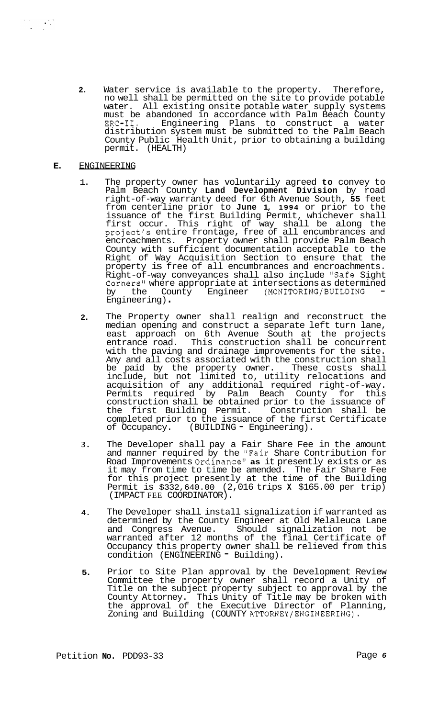**2.** Water service is available to the property. Therefore, no well shall be permitted on the site to provide potable water. All existing onsite potable water supply systems must be abandoned in accordance with Palm Beach County distribution system must be submitted to the Palm Beach County Public Health Unit, prior to obtaining a building permit. (HEALTH) ERC-11. Engineering Plans to construct a water

# **E.** ENGINEERING

- 1. The property owner has voluntarily agreed **to** convey to Palm Beach County **Land Development Division** by road right-of-way warranty deed for 6th Avenue South, **55** feet from centerline prior to **June 1, 1994** or prior to the issuance of the first Building Permit, whichever shall first occur. This right of way shall be along the project's entire frontage, free of all encumbrances and encroachments. Property owner shall provide Palm Beach County with sufficient documentation acceptable to the Right of Way Acquisition Section to ensure that the property is free of all encumbrances and encroachments. Right-of-way conveyances shall also include "Safe Sight Corners" where appropriate at intersections as determined<br>by the County Engineer (MONITORING/BUILDING the County Engineer (MONITORING/BUILDING Engineering) .
- **2.**  The Property owner shall realign and reconstruct the median opening and construct a separate left turn lane, east approach on 6th Avenue South at the projects entrance road. This construction shall be concurrent with the paving and drainage improvements for the site. Any and all costs associated with the construction shall be paid by the property owner. These costs shall include, but not limited to, utility relocations and acquisition of any additional required right-of-way. Permits required by Palm Beach County for this construction shall be obtained prior to the issuance of the first Building Permit. Construction shall be completed prior to the issuance of the first Certificate<br>of Occupancy. (BUILDING - Engineering). (BUILDING - Engineering).
- **3.**  The Developer shall pay a Fair Share Fee in the amount and manner required by the "Fair Share Contribution for Road Improvements Ordinance" **as** it presently exists or as it may from time to time be amended. The Fair Share Fee for this project presently at the time of the Building Permit is \$332,640.00 (2,016 trips **X** \$165.00 per trip) (IMPACT FEE COORDINATOR).
- **4.**  The Developer shall install signalization if warranted as determined by the County Engineer at Old Melaleuca Lane<br>and Congress Avenue. Should signalization not be Should signalization not be warranted after 12 months of the final Certificate of Occupancy this property owner shall be relieved from this condition (ENGINEERING - Building).
- **5.**  Prior to Site Plan approval by the Development Review Committee the property owner shall record a Unity of Title on the subject property subject to approval by the County Attorney. This Unity of Title may be broken with the approval of the Executive Director of Planning, Zoning and Building (COUNTY ATTORNEY/ENGINEERING).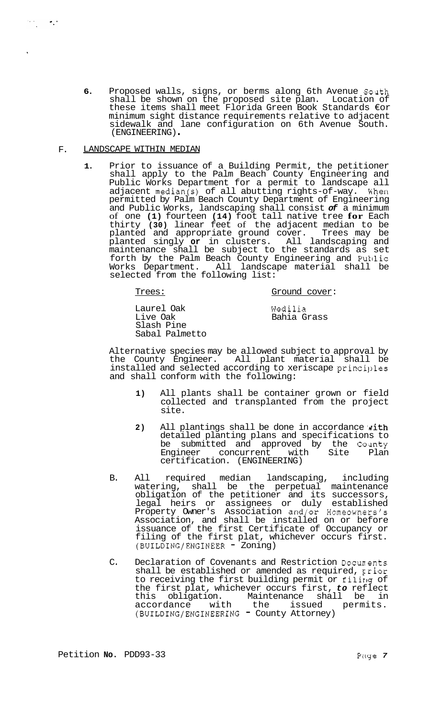6. Proposed walls, signs, or berms along 6th Avenue South shall be shown on the proposed site plan. Location of these items shall meet Florida Green Book Standards €or minimum sight distance requirements relative to adjacent sidewalk and lane configuration on 6th Avenue South. (ENGINEERING) .

#### F. LANDSCAPE WITHIN MEDIAN

 $\mathcal{F}(\mathcal{F}_1) = \mathcal{F}_2$  .

**1.** Prior to issuance of a Building Permit, the petitioner shall apply to the Palm Beach County Engineering and Public Works Department for a permit to landscape all adjacent median(s) of all abutting rights-of-way. Khen permitted by Palm Beach County Department of Engineering and Public Works, landscaping shall consist *of* a minimum of one **(1)** fourteen **(14)** foot tall native tree **for** Each thirty **(30)** linear feet of the adjacent median to be planted and appropriate ground cover. Trees may be planted singly **or** in clusters. All landscaping and maintenance shall be subject to the standards as set forth by the Palm Beach County Engineering and Puklic Works Department. All landscape material shall be Works Department. All landsca<br>selected from the following list:

Trees: Ground cover:

Laurel Oak Live Oak Slash Pine Sabal Palmetto Wedilia Bahia Grass

Alternative species may be allowed subject to approval by the County Engineer. All plant material shall be installed and selected according to xeriscape principles and shall conform with the following:

- **1)** All plants shall be container grown or field collected and transplanted from the project site.
- 2) All plantings shall be done in accordance with detailed planting plans and specifications to be submitted and approved by the County<br>Engineer concurrent with Site Plan Engineer concurrent certification. (ENGINEERING)
- B. All required median landscaping, including watering, shall be the perpetual maintenance obligation of the petitioner and its successors, legal heirs or assignees or duly established Property Owner's Association and/or Homeowners's Association, and shall be installed on or before issuance of the first Certificate of Occupancy or filing of the first plat, whichever occurs first. (BUILDING/ENGINEER - Zoning)
- C. Declaration of Covenants and Restriction Docunents shall be established or amended as required,  $\gamma$ ior to receiving the first building permit or filing of the first plat, whichever occurs first, *to* reflect this obligation. Maintenance shall be in accordance with the issued permits. (BUILDING/ENGINEERING - County Attorney)